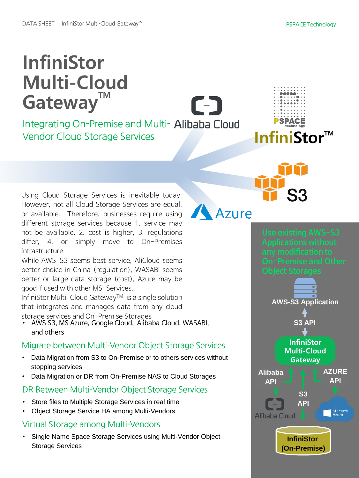# **InfiniStor Multi-Cloud** Gateway<sup>™</sup>

Integrating On-Premise and Multi- Alibaba Cloud Vendor Cloud Storage Services **InfiniStor** 

Using Cloud Storage Services is inevitable today. However, not all Cloud Storage Services are equal, or available. Therefore, businesses require using different storage services because 1. service may not be available, 2. cost is higher, 3. regulations differ, 4. or simply move to On-Premises infrastructure.

While AWS-S3 seems best service, AliCloud seems better choice in China (regulation), WASABI seems better or large data storage (cost), Azure may be good if used with other MS-Services.

InfiniStor Multi-Cloud Gateway<sup>TM</sup> is a single solution that integrates and manages data from any cloud storage services and On-Premise Storages

• AWS S3, MS Azure, Google Cloud, Alibaba Cloud, WASABI, and others

#### Migrate between Multi-Vendor Object Storage Services

- Data Migration from S3 to On-Premise or to others services without stopping services
- Data Migration or DR from On-Premise NAS to Cloud Storages

#### DR Between Multi-Vendor Object Storage Services

- Store files to Multiple Storage Services in real time
- Object Storage Service HA among Multi-Vendors

## Virtual Storage among Multi-Vendors

• Single Name Space Storage Services using Multi-Vendor Object Storage Services

Azure

**SPACE**